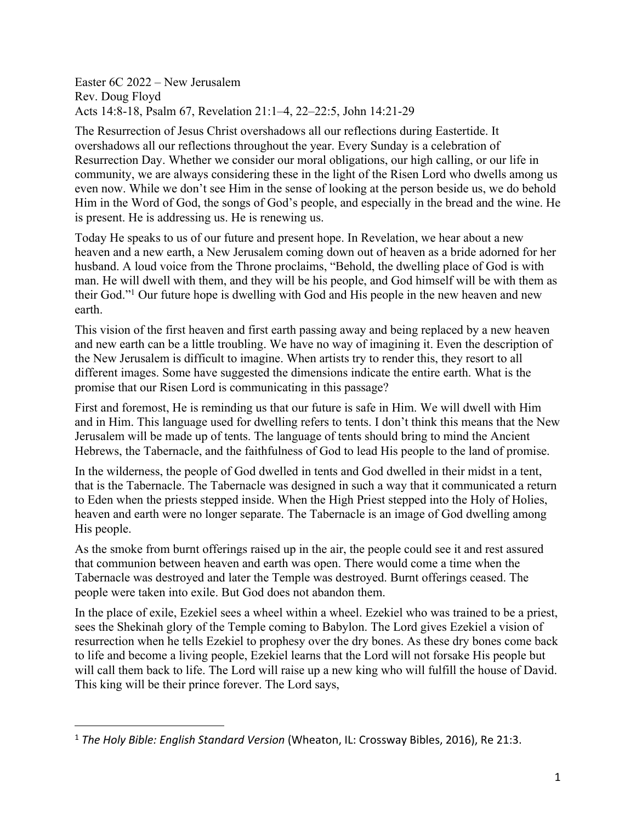Easter 6C 2022 – New Jerusalem Rev. Doug Floyd Acts 14:8-18, Psalm 67, Revelation 21:1–4, 22–22:5, John 14:21-29

The Resurrection of Jesus Christ overshadows all our reflections during Eastertide. It overshadows all our reflections throughout the year. Every Sunday is a celebration of Resurrection Day. Whether we consider our moral obligations, our high calling, or our life in community, we are always considering these in the light of the Risen Lord who dwells among us even now. While we don't see Him in the sense of looking at the person beside us, we do behold Him in the Word of God, the songs of God's people, and especially in the bread and the wine. He is present. He is addressing us. He is renewing us.

Today He speaks to us of our future and present hope. In Revelation, we hear about a new heaven and a new earth, a New Jerusalem coming down out of heaven as a bride adorned for her husband. A loud voice from the Throne proclaims, "Behold, the dwelling place of God is with man. He will dwell with them, and they will be his people, and God himself will be with them as their God."1 Our future hope is dwelling with God and His people in the new heaven and new earth.

This vision of the first heaven and first earth passing away and being replaced by a new heaven and new earth can be a little troubling. We have no way of imagining it. Even the description of the New Jerusalem is difficult to imagine. When artists try to render this, they resort to all different images. Some have suggested the dimensions indicate the entire earth. What is the promise that our Risen Lord is communicating in this passage?

First and foremost, He is reminding us that our future is safe in Him. We will dwell with Him and in Him. This language used for dwelling refers to tents. I don't think this means that the New Jerusalem will be made up of tents. The language of tents should bring to mind the Ancient Hebrews, the Tabernacle, and the faithfulness of God to lead His people to the land of promise.

In the wilderness, the people of God dwelled in tents and God dwelled in their midst in a tent, that is the Tabernacle. The Tabernacle was designed in such a way that it communicated a return to Eden when the priests stepped inside. When the High Priest stepped into the Holy of Holies, heaven and earth were no longer separate. The Tabernacle is an image of God dwelling among His people.

As the smoke from burnt offerings raised up in the air, the people could see it and rest assured that communion between heaven and earth was open. There would come a time when the Tabernacle was destroyed and later the Temple was destroyed. Burnt offerings ceased. The people were taken into exile. But God does not abandon them.

In the place of exile, Ezekiel sees a wheel within a wheel. Ezekiel who was trained to be a priest, sees the Shekinah glory of the Temple coming to Babylon. The Lord gives Ezekiel a vision of resurrection when he tells Ezekiel to prophesy over the dry bones. As these dry bones come back to life and become a living people, Ezekiel learns that the Lord will not forsake His people but will call them back to life. The Lord will raise up a new king who will fulfill the house of David. This king will be their prince forever. The Lord says,

<sup>1</sup> *The Holy Bible: English Standard Version* (Wheaton, IL: Crossway Bibles, 2016), Re 21:3.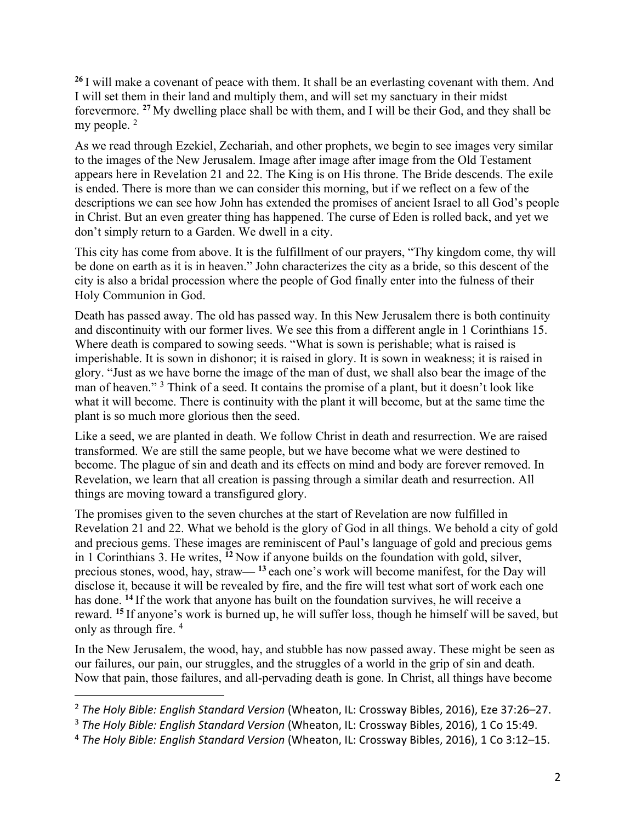**<sup>26</sup>** I will make a covenant of peace with them. It shall be an everlasting covenant with them. And I will set them in their land and multiply them, and will set my sanctuary in their midst forevermore. **<sup>27</sup>** My dwelling place shall be with them, and I will be their God, and they shall be my people.<sup>2</sup>

As we read through Ezekiel, Zechariah, and other prophets, we begin to see images very similar to the images of the New Jerusalem. Image after image after image from the Old Testament appears here in Revelation 21 and 22. The King is on His throne. The Bride descends. The exile is ended. There is more than we can consider this morning, but if we reflect on a few of the descriptions we can see how John has extended the promises of ancient Israel to all God's people in Christ. But an even greater thing has happened. The curse of Eden is rolled back, and yet we don't simply return to a Garden. We dwell in a city.

This city has come from above. It is the fulfillment of our prayers, "Thy kingdom come, thy will be done on earth as it is in heaven." John characterizes the city as a bride, so this descent of the city is also a bridal procession where the people of God finally enter into the fulness of their Holy Communion in God.

Death has passed away. The old has passed way. In this New Jerusalem there is both continuity and discontinuity with our former lives. We see this from a different angle in 1 Corinthians 15. Where death is compared to sowing seeds. "What is sown is perishable; what is raised is imperishable. It is sown in dishonor; it is raised in glory. It is sown in weakness; it is raised in glory. "Just as we have borne the image of the man of dust, we shall also bear the image of the man of heaven." <sup>3</sup> Think of a seed. It contains the promise of a plant, but it doesn't look like what it will become. There is continuity with the plant it will become, but at the same time the plant is so much more glorious then the seed.

Like a seed, we are planted in death. We follow Christ in death and resurrection. We are raised transformed. We are still the same people, but we have become what we were destined to become. The plague of sin and death and its effects on mind and body are forever removed. In Revelation, we learn that all creation is passing through a similar death and resurrection. All things are moving toward a transfigured glory.

The promises given to the seven churches at the start of Revelation are now fulfilled in Revelation 21 and 22. What we behold is the glory of God in all things. We behold a city of gold and precious gems. These images are reminiscent of Paul's language of gold and precious gems in 1 Corinthians 3. He writes, **<sup>12</sup>** Now if anyone builds on the foundation with gold, silver, precious stones, wood, hay, straw— **<sup>13</sup>** each one's work will become manifest, for the Day will disclose it, because it will be revealed by fire, and the fire will test what sort of work each one has done. **<sup>14</sup>** If the work that anyone has built on the foundation survives, he will receive a reward. **<sup>15</sup>** If anyone's work is burned up, he will suffer loss, though he himself will be saved, but only as through fire. 4

In the New Jerusalem, the wood, hay, and stubble has now passed away. These might be seen as our failures, our pain, our struggles, and the struggles of a world in the grip of sin and death. Now that pain, those failures, and all-pervading death is gone. In Christ, all things have become

<sup>2</sup> *The Holy Bible: English Standard Version* (Wheaton, IL: Crossway Bibles, 2016), Eze 37:26–27.

<sup>3</sup> *The Holy Bible: English Standard Version* (Wheaton, IL: Crossway Bibles, 2016), 1 Co 15:49.

<sup>4</sup> *The Holy Bible: English Standard Version* (Wheaton, IL: Crossway Bibles, 2016), 1 Co 3:12–15.